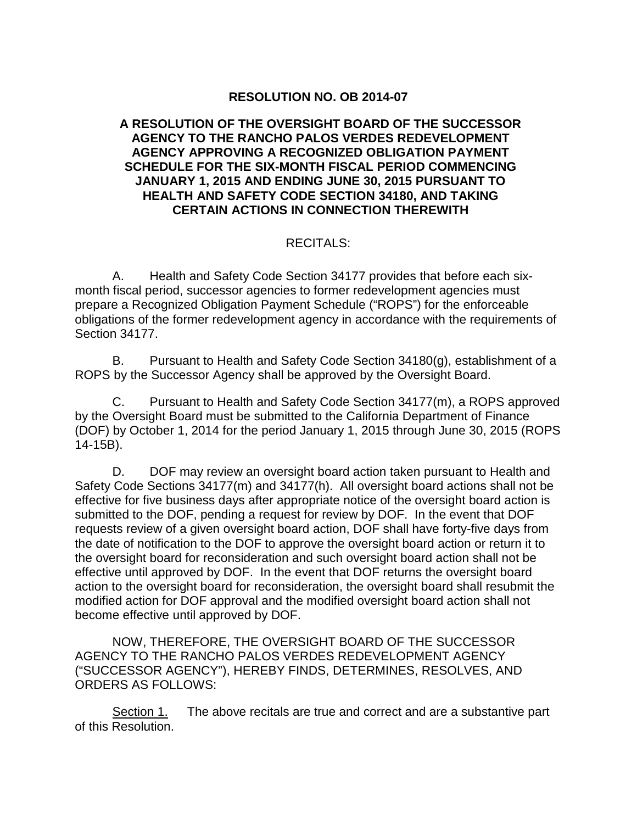## **RESOLUTION NO. OB 2014-07**

### **A RESOLUTION OF THE OVERSIGHT BOARD OF THE SUCCESSOR AGENCY TO THE RANCHO PALOS VERDES REDEVELOPMENT AGENCY APPROVING A RECOGNIZED OBLIGATION PAYMENT SCHEDULE FOR THE SIX-MONTH FISCAL PERIOD COMMENCING JANUARY 1, 2015 AND ENDING JUNE 30, 2015 PURSUANT TO HEALTH AND SAFETY CODE SECTION 34180, AND TAKING CERTAIN ACTIONS IN CONNECTION THEREWITH**

## RECITALS:

A. Health and Safety Code Section 34177 provides that before each sixmonth fiscal period, successor agencies to former redevelopment agencies must prepare a Recognized Obligation Payment Schedule ("ROPS") for the enforceable obligations of the former redevelopment agency in accordance with the requirements of Section 34177.

B. Pursuant to Health and Safety Code Section 34180(g), establishment of a ROPS by the Successor Agency shall be approved by the Oversight Board.

C. Pursuant to Health and Safety Code Section 34177(m), a ROPS approved by the Oversight Board must be submitted to the California Department of Finance (DOF) by October 1, 2014 for the period January 1, 2015 through June 30, 2015 (ROPS 14-15B).

D. DOF may review an oversight board action taken pursuant to Health and Safety Code Sections 34177(m) and 34177(h). All oversight board actions shall not be effective for five business days after appropriate notice of the oversight board action is submitted to the DOF, pending a request for review by DOF. In the event that DOF requests review of a given oversight board action, DOF shall have forty-five days from the date of notification to the DOF to approve the oversight board action or return it to the oversight board for reconsideration and such oversight board action shall not be effective until approved by DOF. In the event that DOF returns the oversight board action to the oversight board for reconsideration, the oversight board shall resubmit the modified action for DOF approval and the modified oversight board action shall not become effective until approved by DOF.

NOW, THEREFORE, THE OVERSIGHT BOARD OF THE SUCCESSOR AGENCY TO THE RANCHO PALOS VERDES REDEVELOPMENT AGENCY ("SUCCESSOR AGENCY"), HEREBY FINDS, DETERMINES, RESOLVES, AND ORDERS AS FOLLOWS:

Section 1. The above recitals are true and correct and are a substantive part of this Resolution.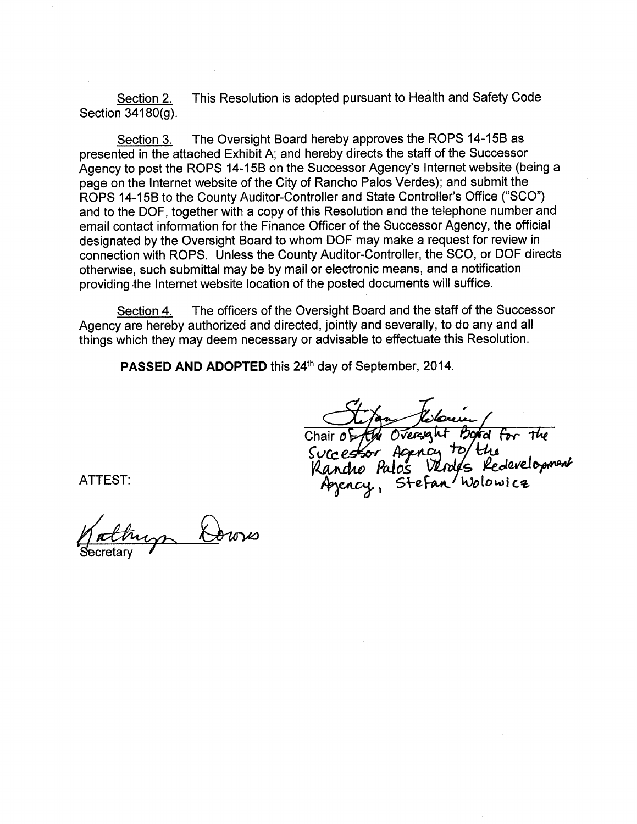Section 2. This Resolution is adopted pursuant to Health and Safety Code Section 34180(g).

The Oversight Board hereby approves the ROPS 14-15B as Section 3. presented in the attached Exhibit A; and hereby directs the staff of the Successor Agency to post the ROPS 14-15B on the Successor Agency's Internet website (being a page on the Internet website of the City of Rancho Palos Verdes); and submit the ROPS 14-15B to the County Auditor-Controller and State Controller's Office ("SCO") and to the DOF, together with a copy of this Resolution and the telephone number and email contact information for the Finance Officer of the Successor Agency, the official designated by the Oversight Board to whom DOF may make a request for review in connection with ROPS. Unless the County Auditor-Controller, the SCO, or DOF directs otherwise, such submittal may be by mail or electronic means, and a notification providing the Internet website location of the posted documents will suffice.

The officers of the Oversight Board and the staff of the Successor Section 4. Agency are hereby authorized and directed, jointly and severally, to do any and all things which they may deem necessary or advisable to effectuate this Resolution.

PASSED AND ADOPTED this 24th day of September, 2014.

Chair of the Oversynt Board for the<br>Successor Agency to the<br>Kandre Palos Verdes Redevelopment<br>Agency, Stefan Wolowica

ATTEST: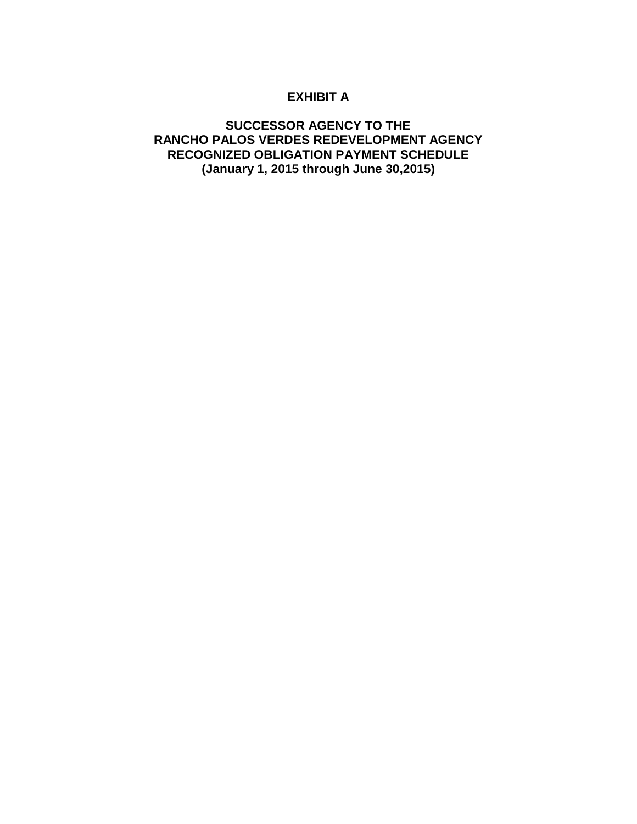# **EXHIBIT A**

### **SUCCESSOR AGENCY TO THE RANCHO PALOS VERDES REDEVELOPMENT AGENCY RECOGNIZED OBLIGATION PAYMENT SCHEDULE (January 1, 2015 through June 30,2015)**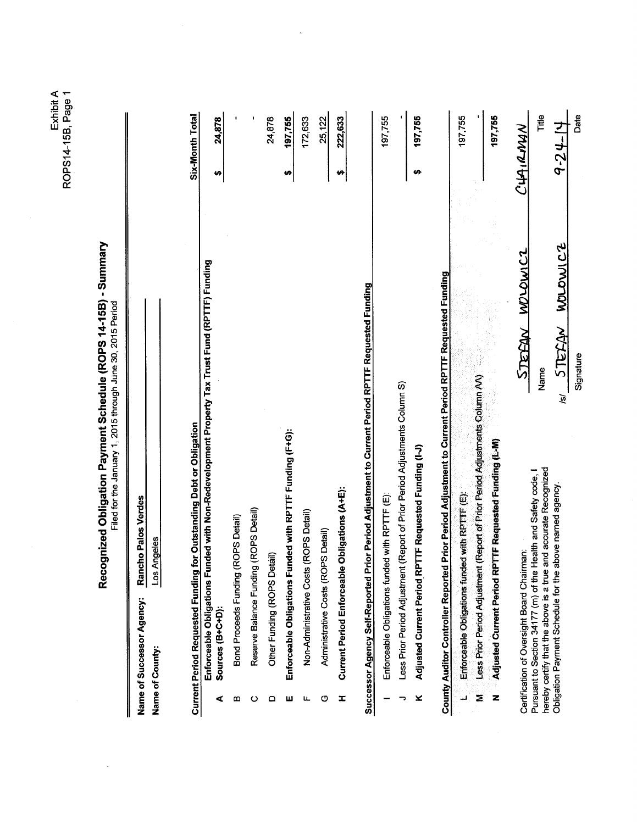Exhibit A<br>ROPS14-15B, Page 1

| le (ROPS 14-15B) - Summar<br>. Daymont Cohomic .   | Filed for the lamian: 1 2015 through line 30 2015 Period |
|----------------------------------------------------|----------------------------------------------------------|
| i<br>Dinama<br>Dinama<br>֧֧֢֛֓֕<br>.<br>התווח הם ה |                                                          |

| 4:25.25.2:5                        |  |
|------------------------------------|--|
|                                    |  |
| אומה הוהם 20 חולה ספיות            |  |
|                                    |  |
|                                    |  |
|                                    |  |
|                                    |  |
|                                    |  |
|                                    |  |
| Eiled tor the lamings of OO1E that |  |
|                                    |  |
|                                    |  |
|                                    |  |
|                                    |  |
|                                    |  |
|                                    |  |
|                                    |  |
|                                    |  |
|                                    |  |
|                                    |  |
|                                    |  |
| 5<br>2<br>2<br>2<br>2              |  |
|                                    |  |
|                                    |  |
|                                    |  |
|                                    |  |
|                                    |  |
|                                    |  |
|                                    |  |
|                                    |  |
|                                    |  |
|                                    |  |
|                                    |  |
|                                    |  |
|                                    |  |
|                                    |  |

| Ĩ<br>Name of Successor Agency | Rancho Palos Verde<br> <br> <br> |
|-------------------------------|----------------------------------|
| Name of County:               | ienes                            |
|                               |                                  |

|    | <b>Current Period Requested Funding for Outstanding Debt or Obligation</b>                                             | Six-Month Total |
|----|------------------------------------------------------------------------------------------------------------------------|-----------------|
| ⋖  | Funded with Non-Redevelopment Property Tax Trust Fund (RPTTF) Funding<br>Enforceable Obligations I<br>Sources (B+C+D): | 24,878          |
| മ  | Bond Proceeds Funding (ROPS Detail)                                                                                    |                 |
| ပ  | Reserve Balance Funding (ROPS Detail)                                                                                  |                 |
|    | Detail)<br>Other Funding (ROPS                                                                                         | 24,878          |
| ш  | Funded with RPTTF Funding (F+G):<br>Enforceable Obligations                                                            | 197,755         |
| ц. | Non-Administrative Costs (ROPS Detail)                                                                                 | 172,633         |
| ပ  | Administrative Costs (ROPS Detail)                                                                                     | 25,122          |
| I  | Current Period Enforceable Obligations (A+E):                                                                          | 222,633         |
|    | Prior Period Adjustment to Current Period RPTTF Requested Funding<br>Successor Agency Self-Reported                    |                 |
|    | Enforceable Obligations funded with RPTTF (E):                                                                         | 197,755         |
|    | Less Prior Period Adjustment (Report of Prior Period Adjustments Column S)                                             |                 |
| ×  | RPTTF Requested Funding (I-J)<br><b>Adjusted Current Period</b>                                                        | 197,755         |
|    | County Auditor Controller Reported Prior Period Adjustment to Current Period RPTTF Requested Funding                   |                 |
|    | Enforceable Obligations funded with RPTTF (E):                                                                         | 197,755         |
| Ξ  | Less Prior Period Adjustment (Report of Prior Period Adjustments Column AA)                                            |                 |
| z  | RPTTF Requested Funding (L-M)<br><b>Adjusted Current Period</b>                                                        | 197.755         |

 $\overline{\phantom{a}}$ 

Certification of Oversight Board Chairman:<br>Pursuant to Section 34177 (m) of the Health and Safety code, I<br>hereby certify that the above is a true and accurate Recognized<br>Obligation Payment Schedule for the above named agen

4-24-14 Date Title STEEAN MOLDWICZ Signature Name  $\overline{\mathbf{e}}$ 

CHAIRMAN

STEFAN WOLDWICZ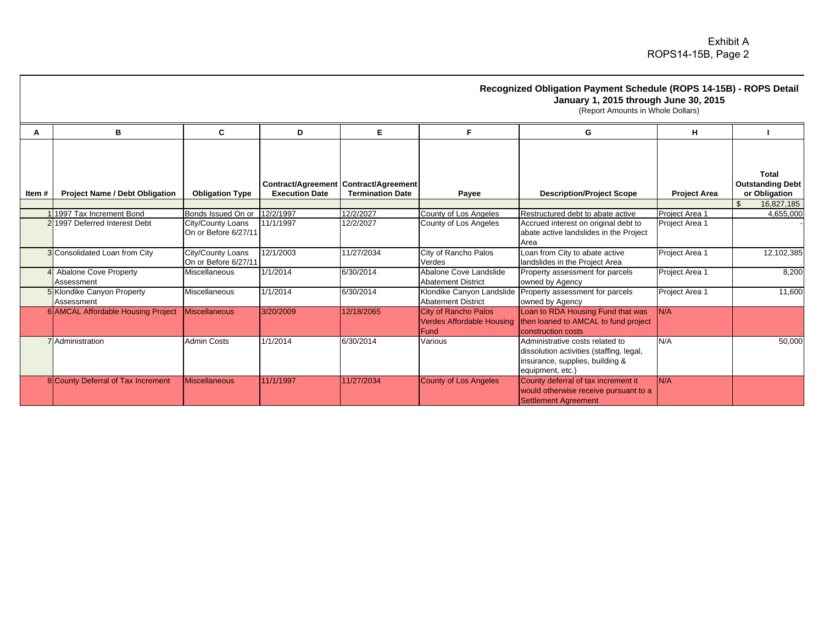#### **Recognized Obligation Payment Schedule (ROPS 14-15B) - ROPS Detail January 1, 2015 through June 30, 2015**

(Report Amounts in Whole Dollars)

|        | в                                               | C                                         | D                     | Е                                                                |                                                                         | G                                                                                                                                  | н                   |                                                   |
|--------|-------------------------------------------------|-------------------------------------------|-----------------------|------------------------------------------------------------------|-------------------------------------------------------------------------|------------------------------------------------------------------------------------------------------------------------------------|---------------------|---------------------------------------------------|
| Item # | <b>Project Name / Debt Obligation</b>           | <b>Obligation Type</b>                    | <b>Execution Date</b> | Contract/Agreement Contract/Agreement<br><b>Termination Date</b> | Payee                                                                   | <b>Description/Project Scope</b>                                                                                                   | <b>Project Area</b> | Total<br><b>Outstanding Debt</b><br>or Obligation |
|        | 1997 Tax Increment Bond                         | Bonds Issued On or                        | 12/2/1997             | 12/2/2027                                                        | County of Los Angeles                                                   | Restructured debt to abate active                                                                                                  | Project Area 1      | $\mathfrak{L}$<br>16,827,185<br>4,655,000         |
|        | 21997 Deferred Interest Debt                    | City/County Loans<br>On or Before 6/27/11 | 11/1/1997             | 12/2/2027                                                        | County of Los Angeles                                                   | Accrued interest on original debt to<br>abate active landslides in the Project<br>Area                                             | Project Area 1      |                                                   |
|        | 3 Consolidated Loan from City                   | City/County Loans<br>On or Before 6/27/11 | 12/1/2003             | 11/27/2034                                                       | City of Rancho Palos<br>Verdes                                          | Loan from City to abate active<br>landslides in the Project Area                                                                   | Project Area 1      | 12,102,385                                        |
|        | <b>Abalone Cove Property</b><br>Assessment      | <b>Miscellaneous</b>                      | 1/1/2014              | 6/30/2014                                                        | Abalone Cove Landslide<br><b>Abatement District</b>                     | Property assessment for parcels<br>owned by Agency                                                                                 | Project Area 1      | 8,200                                             |
|        | <b>5</b> Klondike Canyon Property<br>Assessment | Miscellaneous                             | 1/1/2014              | 6/30/2014                                                        | Klondike Canyon Landslide<br><b>Abatement District</b>                  | Property assessment for parcels<br>owned by Agency                                                                                 | Project Area 1      | 11,600                                            |
|        | 6 AMCAL Affordable Housing Project              | <b>Miscellaneous</b>                      | 3/20/2009             | 12/18/2065                                                       | <b>City of Rancho Palos</b><br><b>Verdes Affordable Housing</b><br>Fund | Loan to RDA Housing Fund that was<br>then loaned to AMCAL to fund project<br>construction costs                                    | IN/A                |                                                   |
|        | <b>7</b> Administration                         | <b>Admin Costs</b>                        | 1/1/2014              | 6/30/2014                                                        | Various                                                                 | Administrative costs related to<br>dissolution activities (staffing, legal,<br>insurance, supplies, building &<br>equipment, etc.) | N/A                 | 50,000                                            |
|        | 8 County Deferral of Tax Increment              | <b>Miscellaneous</b>                      | 11/1/1997             | 11/27/2034                                                       | <b>County of Los Angeles</b>                                            | County deferral of tax increment it<br>would otherwise receive pursuant to a<br>Settlement Agreement                               | N/A                 |                                                   |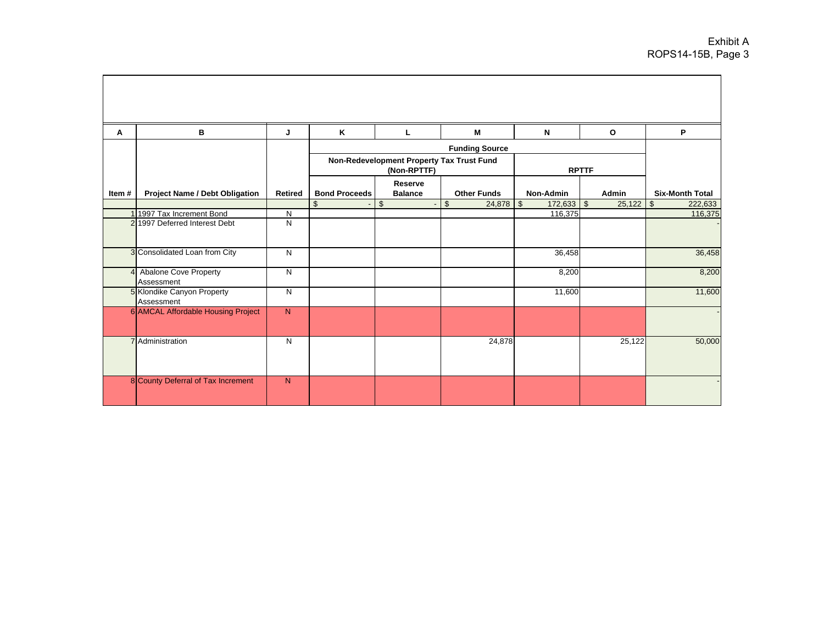| A            | B                                          | J              | K                    | L                                                        | M                     | N                     | $\mathbf{o}$        | P                         |
|--------------|--------------------------------------------|----------------|----------------------|----------------------------------------------------------|-----------------------|-----------------------|---------------------|---------------------------|
|              |                                            |                |                      |                                                          | <b>Funding Source</b> |                       |                     |                           |
|              |                                            |                |                      | Non-Redevelopment Property Tax Trust Fund<br>(Non-RPTTF) |                       |                       | <b>RPTTF</b>        |                           |
| Item#        | <b>Project Name / Debt Obligation</b>      | <b>Retired</b> | <b>Bond Proceeds</b> | Reserve<br><b>Balance</b>                                | <b>Other Funds</b>    | <b>Non-Admin</b>      | <b>Admin</b>        | <b>Six-Month Total</b>    |
|              |                                            |                | $\mathfrak{S}$       | $\mathbb{S}$                                             | \$<br>24,878          | $\sqrt{3}$<br>172,633 | $\bullet$<br>25,122 | $\mathfrak{S}$<br>222,633 |
|              | 1 1997 Tax Increment Bond                  | N              |                      |                                                          |                       | 116,375               |                     | 116,375                   |
|              | 2 1997 Deferred Interest Debt              | N              |                      |                                                          |                       |                       |                     |                           |
|              | 3 Consolidated Loan from City              | N              |                      |                                                          |                       | 36,458                |                     | 36,458                    |
| $\mathbf{4}$ | <b>Abalone Cove Property</b><br>Assessment | N              |                      |                                                          |                       | 8,200                 |                     | 8,200                     |
|              | 5 Klondike Canyon Property<br>Assessment   | N              |                      |                                                          |                       | 11,600                |                     | 11,600                    |
|              | 6 AMCAL Affordable Housing Project         | $\overline{N}$ |                      |                                                          |                       |                       |                     |                           |
|              | 7 Administration                           | N              |                      |                                                          | 24,878                |                       | 25,122              | 50,000                    |
|              | 8 County Deferral of Tax Increment         | $\mathsf{N}$   |                      |                                                          |                       |                       |                     |                           |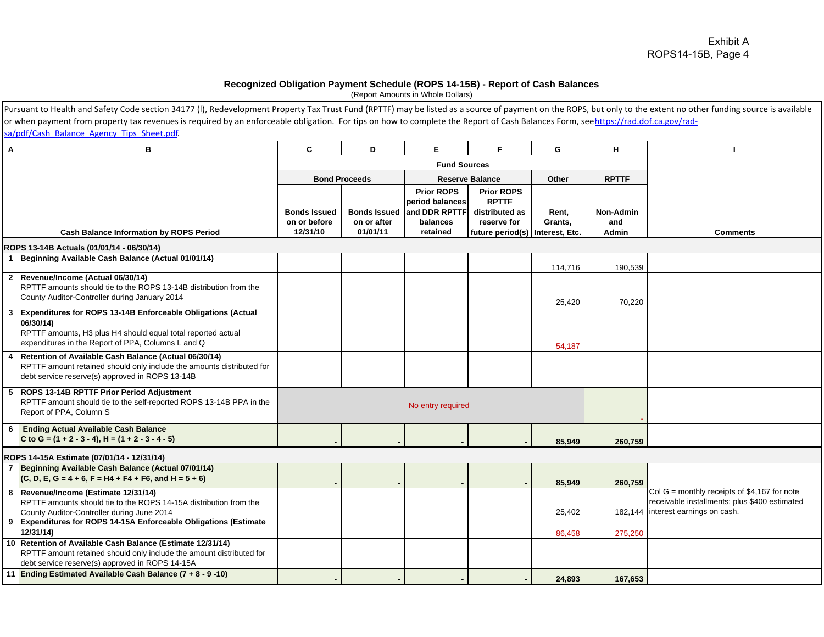#### **Recognized Obligation Payment Schedule (ROPS 14-15B) - Report of Cash Balances**

(Report Amounts in Whole Dollars)

|                | Pursuant to Health and Safety Code section 34177 (I), Redevelopment Property Tax Trust Fund (RPTTF) may be listed as a source of payment on the ROPS, but only to the extent no other funding source is available |                                                 |                         |                                                                                            |                                                                                                         |                  |                           |                                                                                                                                       |
|----------------|-------------------------------------------------------------------------------------------------------------------------------------------------------------------------------------------------------------------|-------------------------------------------------|-------------------------|--------------------------------------------------------------------------------------------|---------------------------------------------------------------------------------------------------------|------------------|---------------------------|---------------------------------------------------------------------------------------------------------------------------------------|
|                | or when payment from property tax revenues is required by an enforceable obligation. For tips on how to complete the Report of Cash Balances Form, seehttps://rad.dof.ca.gov/rad-                                 |                                                 |                         |                                                                                            |                                                                                                         |                  |                           |                                                                                                                                       |
|                | sa/pdf/Cash Balance Agency Tips Sheet.pdf.                                                                                                                                                                        |                                                 |                         |                                                                                            |                                                                                                         |                  |                           |                                                                                                                                       |
| $\mathbf{A}$   | в                                                                                                                                                                                                                 | C                                               | D                       | E.                                                                                         | F                                                                                                       | G                | н                         |                                                                                                                                       |
|                |                                                                                                                                                                                                                   |                                                 |                         | <b>Fund Sources</b>                                                                        |                                                                                                         |                  |                           |                                                                                                                                       |
|                |                                                                                                                                                                                                                   |                                                 | <b>Bond Proceeds</b>    |                                                                                            | <b>Reserve Balance</b>                                                                                  | Other            | <b>RPTTF</b>              |                                                                                                                                       |
|                | <b>Cash Balance Information by ROPS Period</b>                                                                                                                                                                    | <b>Bonds Issued</b><br>on or before<br>12/31/10 | on or after<br>01/01/11 | <b>Prior ROPS</b><br>period balances<br>Bonds Issued and DDR RPTTF<br>balances<br>retained | <b>Prior ROPS</b><br><b>RPTTF</b><br>distributed as<br>reserve for<br>future period(s)   Interest, Etc. | Rent,<br>Grants, | Non-Admin<br>and<br>Admin | <b>Comments</b>                                                                                                                       |
|                | ROPS 13-14B Actuals (01/01/14 - 06/30/14)                                                                                                                                                                         |                                                 |                         |                                                                                            |                                                                                                         |                  |                           |                                                                                                                                       |
|                | 1 Beginning Available Cash Balance (Actual 01/01/14)                                                                                                                                                              |                                                 |                         |                                                                                            |                                                                                                         | 114,716          | 190,539                   |                                                                                                                                       |
|                | 2 Revenue/Income (Actual 06/30/14)<br>RPTTF amounts should tie to the ROPS 13-14B distribution from the<br>County Auditor-Controller during January 2014                                                          |                                                 |                         |                                                                                            |                                                                                                         | 25,420           | 70,220                    |                                                                                                                                       |
|                | 3 Expenditures for ROPS 13-14B Enforceable Obligations (Actual<br>06/30/14)<br>RPTTF amounts, H3 plus H4 should equal total reported actual<br>expenditures in the Report of PPA, Columns L and Q                 |                                                 |                         |                                                                                            |                                                                                                         | 54,187           |                           |                                                                                                                                       |
|                | 4 Retention of Available Cash Balance (Actual 06/30/14)<br>RPTTF amount retained should only include the amounts distributed for<br>debt service reserve(s) approved in ROPS 13-14B                               |                                                 |                         |                                                                                            |                                                                                                         |                  |                           |                                                                                                                                       |
|                | 5  ROPS 13-14B RPTTF Prior Period Adjustment<br>RPTTF amount should tie to the self-reported ROPS 13-14B PPA in the<br>Report of PPA, Column S                                                                    |                                                 |                         | No entry required                                                                          |                                                                                                         |                  |                           |                                                                                                                                       |
|                | 6 Ending Actual Available Cash Balance<br>C to G = $(1 + 2 - 3 - 4)$ , H = $(1 + 2 - 3 - 4 - 5)$                                                                                                                  |                                                 |                         |                                                                                            |                                                                                                         | 85,949           | 260,759                   |                                                                                                                                       |
|                | ROPS 14-15A Estimate (07/01/14 - 12/31/14)                                                                                                                                                                        |                                                 |                         |                                                                                            |                                                                                                         |                  |                           |                                                                                                                                       |
| $\overline{7}$ | Beginning Available Cash Balance (Actual 07/01/14)<br>$(C, D, E, G = 4 + 6, F = H4 + F4 + F6, and H = 5 + 6)$                                                                                                     |                                                 |                         |                                                                                            |                                                                                                         | 85,949           | 260,759                   |                                                                                                                                       |
|                | 8 Revenue/Income (Estimate 12/31/14)<br>RPTTF amounts should tie to the ROPS 14-15A distribution from the<br>County Auditor-Controller during June 2014                                                           |                                                 |                         |                                                                                            |                                                                                                         | 25,402           |                           | Col $G =$ monthly receipts of \$4,167 for note<br>receivable installments; plus \$400 estimated<br>182,144 interest earnings on cash. |
|                | 9 Expenditures for ROPS 14-15A Enforceable Obligations (Estimate<br>12/31/14                                                                                                                                      |                                                 |                         |                                                                                            |                                                                                                         | 86,458           | 275,250                   |                                                                                                                                       |
|                | 10 Retention of Available Cash Balance (Estimate 12/31/14)<br>RPTTF amount retained should only include the amount distributed for<br>debt service reserve(s) approved in ROPS 14-15A                             |                                                 |                         |                                                                                            |                                                                                                         |                  |                           |                                                                                                                                       |
|                | 11 Ending Estimated Available Cash Balance (7 + 8 - 9 -10)                                                                                                                                                        |                                                 |                         |                                                                                            |                                                                                                         | 24,893           | 167,653                   |                                                                                                                                       |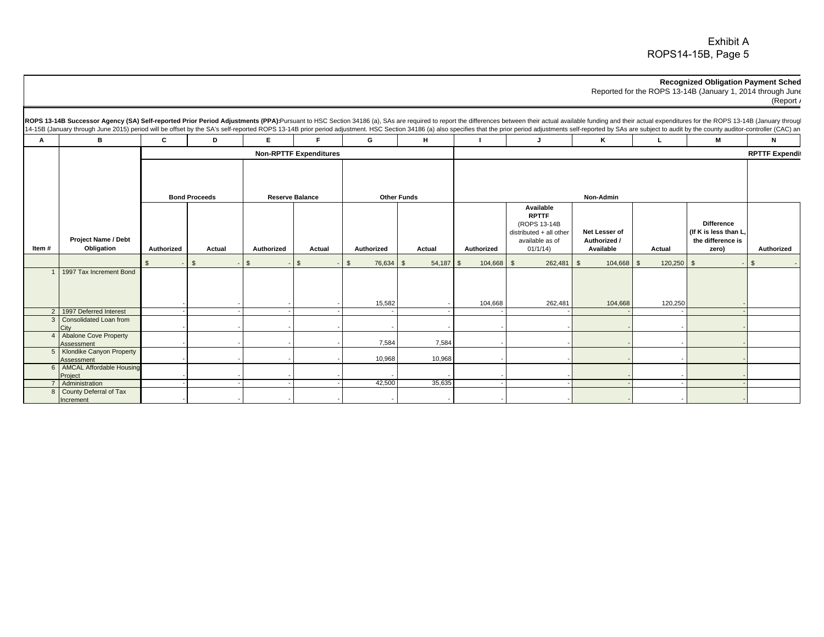#### **Recognized Obligation Payment Sched**

Reported for the ROPS 13-14B (January 1, 2014 through June (Report A

| А     | в                                          | C          | D                    | E.                     | E                             | G                          | H                  |            | J                                                                                                   | ĸ                                          |              | M                                                                       | N                     |
|-------|--------------------------------------------|------------|----------------------|------------------------|-------------------------------|----------------------------|--------------------|------------|-----------------------------------------------------------------------------------------------------|--------------------------------------------|--------------|-------------------------------------------------------------------------|-----------------------|
|       |                                            |            |                      |                        | <b>Non-RPTTF Expenditures</b> |                            |                    |            |                                                                                                     |                                            |              |                                                                         | <b>RPTTF Expendit</b> |
|       |                                            |            | <b>Bond Proceeds</b> | <b>Reserve Balance</b> |                               |                            | <b>Other Funds</b> |            |                                                                                                     | Non-Admin                                  |              |                                                                         |                       |
| Item# | <b>Project Name / Debt</b><br>Obligation   | Authorized | Actual               | Authorized             | Actual                        | Authorized                 | Actual             | Authorized | Available<br><b>RPTTF</b><br>(ROPS 13-14B)<br>distributed + all other<br>available as of<br>01/1/14 | Net Lesser of<br>Authorized /<br>Available | Actual       | <b>Difference</b><br>(If K is less than L<br>the difference is<br>zero) | Authorized            |
|       |                                            | ፍ          | $\mathbb{S}$         | $\mathfrak{L}$         | $\mathfrak s$                 | 76,634 \$<br>$\mathcal{F}$ | $54,187$ \$        | 104,668 \$ | 262,481                                                                                             | $104,668$ \$<br>$\overline{\phantom{a}}$   | $120,250$ \$ |                                                                         | $\mathcal{L}$         |
|       | 1997 Tax Increment Bond                    |            |                      |                        |                               | 15,582                     |                    | 104,668    | 262,481                                                                                             | 104,668                                    | 120,250      |                                                                         |                       |
|       | 2 1997 Deferred Interest                   |            |                      |                        |                               |                            |                    |            |                                                                                                     |                                            |              |                                                                         |                       |
|       | 3 Consolidated Loan from                   |            |                      |                        |                               |                            |                    |            |                                                                                                     |                                            |              |                                                                         |                       |
|       | <b>Abalone Cove Property</b><br>Assessment |            |                      |                        |                               | 7,584                      | 7,584              |            |                                                                                                     |                                            |              |                                                                         |                       |
|       | 5 Klondike Canyon Property<br>Assessment   |            |                      |                        |                               | 10,968                     | 10,968             |            |                                                                                                     |                                            |              |                                                                         |                       |
|       | 6   AMCAL Affordable Housing<br>Project    |            |                      |                        |                               |                            |                    |            |                                                                                                     |                                            |              |                                                                         |                       |
|       |                                            |            |                      |                        |                               |                            |                    |            |                                                                                                     |                                            |              |                                                                         |                       |
|       | Administration<br>County Deferral of Tax   |            |                      |                        |                               | 42,500                     | 35,635             |            |                                                                                                     |                                            |              |                                                                         |                       |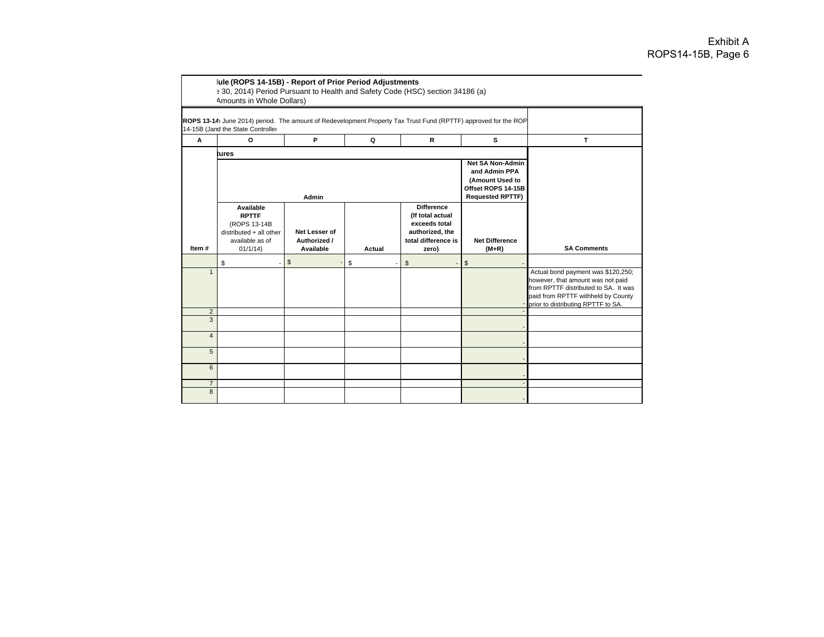|                     | ROPS 13-14 June 2014) period. The amount of Redevelopment Property Tax Trust Fund (RPTTF) approved for the ROP<br>14-15B (Jand the State Controlle |                                            |        |                                                                                                           |                                                                                                              |                                                                                                                                                                                             |
|---------------------|----------------------------------------------------------------------------------------------------------------------------------------------------|--------------------------------------------|--------|-----------------------------------------------------------------------------------------------------------|--------------------------------------------------------------------------------------------------------------|---------------------------------------------------------------------------------------------------------------------------------------------------------------------------------------------|
| A                   | O                                                                                                                                                  | P                                          | Q      | R                                                                                                         | s                                                                                                            | T.                                                                                                                                                                                          |
|                     | tures                                                                                                                                              |                                            |        |                                                                                                           |                                                                                                              |                                                                                                                                                                                             |
|                     |                                                                                                                                                    | Admin                                      |        |                                                                                                           | <b>Net SA Non-Admin</b><br>and Admin PPA<br>(Amount Used to<br>Offset ROPS 14-15B<br><b>Requested RPTTF)</b> |                                                                                                                                                                                             |
| Item #              | Available<br><b>RPTTF</b><br>(ROPS 13-14B<br>distributed + all other<br>available as of<br>01/1/14                                                 | Net Lesser of<br>Authorized /<br>Available | Actual | <b>Difference</b><br>(If total actual<br>exceeds total<br>authorized, the<br>total difference is<br>zero) | <b>Net Difference</b><br>$(M+R)$                                                                             | <b>SA Comments</b>                                                                                                                                                                          |
|                     | \$                                                                                                                                                 | $\mathfrak{s}$                             | \$     | \$                                                                                                        | \$                                                                                                           |                                                                                                                                                                                             |
| $\mathbf{1}$        |                                                                                                                                                    |                                            |        |                                                                                                           |                                                                                                              | Actual bond payment was \$120,250;<br>however, that amount was not paid<br>from RPTTF distributed to SA. It was<br>paid from RPTTF withheld by County<br>prior to distributing RPTTF to SA. |
| $\overline{2}$<br>3 |                                                                                                                                                    |                                            |        |                                                                                                           |                                                                                                              |                                                                                                                                                                                             |
|                     |                                                                                                                                                    |                                            |        |                                                                                                           |                                                                                                              |                                                                                                                                                                                             |
| $\overline{4}$      |                                                                                                                                                    |                                            |        |                                                                                                           |                                                                                                              |                                                                                                                                                                                             |
| 5                   |                                                                                                                                                    |                                            |        |                                                                                                           |                                                                                                              |                                                                                                                                                                                             |
| 6                   |                                                                                                                                                    |                                            |        |                                                                                                           |                                                                                                              |                                                                                                                                                                                             |
| $\overline{7}$      |                                                                                                                                                    |                                            |        |                                                                                                           |                                                                                                              |                                                                                                                                                                                             |
| 8                   |                                                                                                                                                    |                                            |        |                                                                                                           |                                                                                                              |                                                                                                                                                                                             |